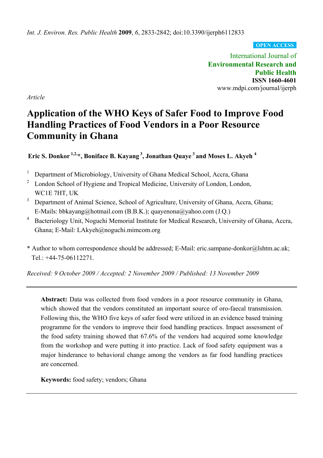*Int. J. Environ. Res. Public Health* **2009**, *6*, 2833-2842; doi:10.3390/ijerph6112833

**OPEN ACCESS**

International Journal of **Environmental Research and Public Health ISSN 1660-4601**  www.mdpi.com/journal/ijerph

*Article* 

# **Application of the WHO Keys of Safer Food to Improve Food Handling Practices of Food Vendors in a Poor Resource Community in Ghana**

**Eric S. Donkor 1,2,\*, Boniface B. Kayang 3, Jonathan Quaye 3 and Moses L. Akyeh 4** 

<sup>1</sup> Department of Microbiology, University of Ghana Medical School, Accra, Ghana

- <sup>2</sup> London School of Hygiene and Tropical Medicine, University of London, London, WC1E 7HT, UK
- <sup>3</sup> Department of Animal Science, School of Agriculture, University of Ghana, Accra, Ghana; E-Mails: bbkayang@hotmail.com (B.B.K.); quayenona@yahoo.com (J.Q.)
- <sup>4</sup> Bacteriology Unit, Noguchi Memorial Institute for Medical Research, University of Ghana, Accra, Ghana; E-Mail: LAkyeh@noguchi.mimcom.org
- \* Author to whom correspondence should be addressed; E-Mail: eric.sampane-donkor@lshtm.ac.uk; Tel.: +44-75-06112271.

*Received: 9 October 2009 / Accepted: 2 November 2009 / Published: 13 November 2009* 

Abstract: Data was collected from food vendors in a poor resource community in Ghana, which showed that the vendors constituted an important source of oro-faecal transmission. Following this, the WHO five keys of safer food were utilized in an evidence based training programme for the vendors to improve their food handling practices. Impact assessment of the food safety training showed that 67.6% of the vendors had acquired some knowledge from the workshop and were putting it into practice. Lack of food safety equipment was a major hinderance to behavioral change among the vendors as far food handling practices are concerned.

**Keywords:** food safety; vendors; Ghana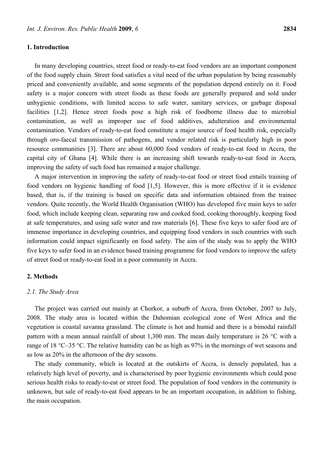# **1. Introduction**

In many developing countries, street food or ready-to-eat food vendors are an important component of the food supply chain. Street food satisfies a vital need of the urban population by being reasonably priced and conveniently available, and some segments of the population depend entirely on it. Food safety is a major concern with street foods as these foods are generally prepared and sold under unhygienic conditions, with limited access to safe water, sanitary services, or garbage disposal facilities [1,2]. Hence street foods pose a high risk of foodborne illness due to microbial contamination, as well as improper use of food additives, adulteration and environmental contamination. Vendors of ready-to-eat food constitute a major source of food health risk, especially through oro-faecal transmission of pathogens, and vendor related risk is particularly high in poor resource communities [3]. There are about 60,000 food vendors of ready-to-eat food in Accra, the capital city of Ghana [4]. While there is an increasing shift towards ready-to-eat food in Accra, improving the safety of such food has remained a major challenge.

A major intervention in improving the safety of ready-to-eat food or street food entails training of food vendors on hygienic handling of food [1,5]. However, this is more effective if it is evidence based, that is, if the training is based on specific data and information obtained from the trainee vendors. Quite recently, the World Health Organisation (WHO) has developed five main keys to safer food, which include keeping clean, separating raw and cooked food, cooking thoroughly, keeping food at safe temperatures, and using safe water and raw materials [6]. These five keys to safer food are of immense importance in developing countries, and equipping food vendors in such countries with such information could impact significantly on food safety. The aim of the study was to apply the WHO five keys to safer food in an evidence based training programme for food vendors to improve the safety of street food or ready-to-eat food in a poor community in Accra.

# **2. Methods**

#### *2.1. The Study Area*

The project was carried out mainly at Chorkor, a suburb of Accra, from October, 2007 to July, 2008. The study area is located within the Dahomian ecological zone of West Africa and the vegetation is coastal savanna grassland. The climate is hot and humid and there is a bimodal rainfall pattern with a mean annual rainfall of about 1,300 mm. The mean daily temperature is 26 °C with a range of 18 °C–35 °C. The relative humidity can be as high as 97% in the mornings of wet seasons and as low as 20% in the afternoon of the dry seasons.

The study community, which is located at the outskirts of Accra, is densely populated, has a relatively high level of poverty, and is characterised by poor hygienic environments which could pose serious health risks to ready-to-eat or street food. The population of food vendors in the community is unknown, but sale of ready-to-eat food appears to be an important occupation, in addition to fishing, the main occupation.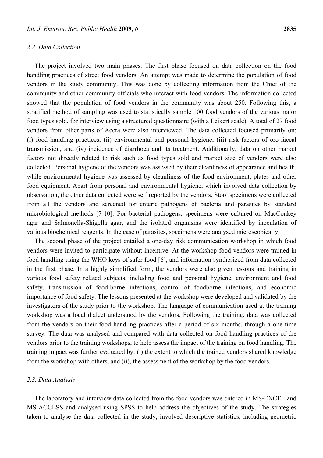# *2.2. Data Collection*

The project involved two main phases. The first phase focused on data collection on the food handling practices of street food vendors. An attempt was made to determine the population of food vendors in the study community. This was done by collecting information from the Chief of the community and other community officials who interact with food vendors. The information collected showed that the population of food vendors in the community was about 250. Following this, a stratified method of sampling was used to statistically sample 100 food vendors of the various major food types sold, for interview using a structured questionnaire (with a Leikert scale). A total of 27 food vendors from other parts of Accra were also interviewed. The data collected focused primarily on: (i) food handling practices; (ii) environmental and personal hygiene; (iii) risk factors of oro-faecal transmission, and (iv) incidence of diarrhoea and its treatment. Additionally, data on other market factors not directly related to risk such as food types sold and market size of vendors were also collected. Personal hygiene of the vendors was assessed by their cleanliness of appearance and health, while environmental hygiene was assessed by cleanliness of the food environment, plates and other food equipment. Apart from personal and environmental hygiene, which involved data collection by observation, the other data collected were self reported by the vendors. Stool specimens were collected from all the vendors and screened for enteric pathogens of bacteria and parasites by standard microbiological methods [7-10]. For bacterial pathogens, specimens were cultured on MacConkey agar and Salmonella-Shigella agar, and the isolated organisms were identified by inoculation of various biochemical reagents. In the case of parasites, specimens were analysed microscopically.

The second phase of the project entailed a one-day risk communication workshop in which food vendors were invited to participate without incentive. At the workshop food vendors were trained in food handling using the WHO keys of safer food [6], and information synthesized from data collected in the first phase. In a highly simplified form, the vendors were also given lessons and training in various food safety related subjects, including food and personal hygiene, environment and food safety, transmission of food-borne infections, control of foodborne infections, and economic importance of food safety. The lessons presented at the workshop were developed and validated by the investigators of the study prior to the workshop. The language of communication used at the training workshop was a local dialect understood by the vendors. Following the training, data was collected from the vendors on their food handling practices after a period of six months, through a one time survey. The data was analysed and compared with data collected on food handling practices of the vendors prior to the training workshops, to help assess the impact of the training on food handling. The training impact was further evaluated by: (i) the extent to which the trained vendors shared knowledge from the workshop with others, and (ii), the assessment of the workshop by the food vendors.

# *2.3. Data Analysis*

The laboratory and interview data collected from the food vendors was entered in MS-EXCEL and MS-ACCESS and analysed using SPSS to help address the objectives of the study. The strategies taken to analyse the data collected in the study, involved descriptive statistics, including geometric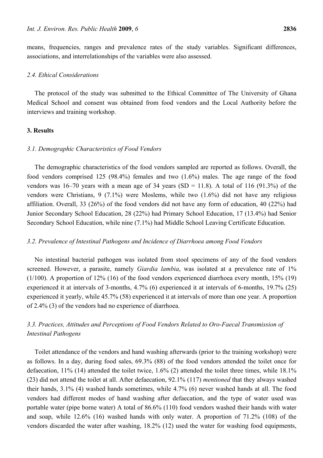means, frequencies, ranges and prevalence rates of the study variables. Significant differences, associations, and interrelationships of the variables were also assessed.

# *2.4. Ethical Considerations*

The protocol of the study was submitted to the Ethical Committee of The University of Ghana Medical School and consent was obtained from food vendors and the Local Authority before the interviews and training workshop.

#### **3. Results**

#### *3.1. Demographic Characteristics of Food Vendors*

The demographic characteristics of the food vendors sampled are reported as follows. Overall, the food vendors comprised 125 (98.4%) females and two (1.6%) males. The age range of the food vendors was 16–70 years with a mean age of 34 years (SD = 11.8). A total of 116 (91.3%) of the vendors were Christians, 9 (7.1%) were Moslems, while two (1.6%) did not have any religious affiliation. Overall, 33 (26%) of the food vendors did not have any form of education, 40 (22%) had Junior Secondary School Education, 28 (22%) had Primary School Education, 17 (13.4%) had Senior Secondary School Education, while nine (7.1%) had Middle School Leaving Certificate Education.

#### *3.2. Prevalence of Intestinal Pathogens and Incidence of Diarrhoea among Food Vendors*

No intestinal bacterial pathogen was isolated from stool specimens of any of the food vendors screened. However, a parasite, namely *Giardia lambia*, was isolated at a prevalence rate of 1% (1/100). A proportion of 12% (16) of the food vendors experienced diarrhoea every month, 15% (19) experienced it at intervals of 3-months, 4.7% (6) experienced it at intervals of 6-months, 19.7% (25) experienced it yearly, while 45.7% (58) experienced it at intervals of more than one year. A proportion of 2.4% (3) of the vendors had no experience of diarrhoea.

# *3.3. Practices, Attitudes and Perceptions of Food Vendors Related to Oro-Faecal Transmission of Intestinal Pathogens*

Toilet attendance of the vendors and hand washing afterwards (prior to the training workshop) were as follows. In a day, during food sales, 69.3% (88) of the food vendors attended the toilet once for defaecation, 11% (14) attended the toilet twice, 1.6% (2) attended the toilet three times, while 18.1% (23) did not attend the toilet at all. After defaecation, 92.1% (117) *mentioned* that they always washed their hands, 3.1% (4) washed hands sometimes, while 4.7% (6) never washed hands at all. The food vendors had different modes of hand washing after defaecation, and the type of water used was portable water (pipe borne water) A total of 86.6% (110) food vendors washed their hands with water and soap, while 12.6% (16) washed hands with only water. A proportion of 71.2% (108) of the vendors discarded the water after washing, 18.2% (12) used the water for washing food equipments,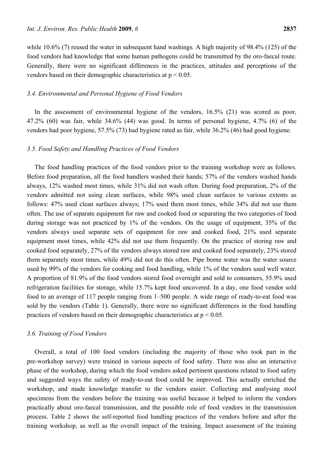while 10.6% (7) reused the water in subsequent hand washings. A high majority of 98.4% (125) of the food vendors had knowledge that some human pathogens could be transmitted by the oro-faecal route. Generally, there were no significant differences in the practices, attitudes and perceptions of the vendors based on their demographic characteristics at  $p < 0.05$ .

# *3.4. Environmental and Personal Hygiene of Food Vendors*

In the assessment of environmental hygiene of the vendors, 16.5% (21) was scored as poor, 47.2% (60) was fair, while 34.6% (44) was good. In terms of personal hygiene, 4.7% (6) of the vendors had poor hygiene, 57.5% (73) had hygiene rated as fair, while 36.2% (46) had good hygiene.

#### *3.5. Food Safety and Handling Practices of Food Vendors*

The food handling practices of the food vendors prior to the training workshop were as follows. Before food preparation, all the food handlers washed their hands; 57% of the vendors washed hands always, 12% washed most times, while 31% did not wash often. During food preparation, 2% of the vendors admitted not using clean surfaces, while 98% used clean surfaces to various extents as follows: 47% used clean surfaces always; 17% used them most times, while 34% did not use them often. The use of separate equipment for raw and cooked food or separating the two categories of food during storage was not practiced by 1% of the vendors. On the usage of equipment, 35% of the vendors always used separate sets of equipment for raw and cooked food, 21% used separate equipment most times, while 42% did not use them frequently. On the practice of storing raw and cooked food separately, 27% of the vendors always stored raw and cooked food separately, 23% stored them separately most times, while 49% did not do this often. Pipe borne water was the water source used by 99% of the vendors for cooking and food handling, while 1% of the vendors used well water. A proportion of 81.9% of the food vendors stored food overnight and sold to consumers, 55.9% used refrigeration facilities for storage, while 15.7% kept food uncovered. In a day, one food vendor sold food to an average of 117 people ranging from 1–500 people. A wide range of ready-to-eat food was sold by the vendors (Table 1). Generally, there were no significant differences in the food handling practices of vendors based on their demographic characteristics at  $p < 0.05$ .

#### *3.6. Training of Food Vendors*

Overall, a total of 100 food vendors (including the majority of those who took part in the pre-workshop survey) were trained in various aspects of food safety. There was also an interactive phase of the workshop, during which the food vendors asked pertinent questions related to food safety and suggested ways the safety of ready-to-eat food could be improved. This actually enriched the workshop, and made knowledge transfer to the vendors easier. Collecting and analysing stool specimens from the vendors before the training was useful because it helped to inform the vendors practically about oro-faecal transmission, and the possible role of food vendors in the transmission process. Table 2 shows the self-reported food handling practices of the vendors before and after the training workshop, as well as the overall impact of the training. Impact assessment of the training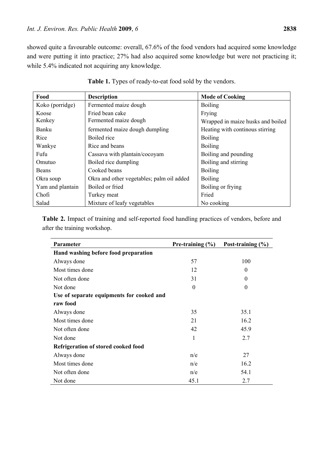showed quite a favourable outcome: overall, 67.6% of the food vendors had acquired some knowledge and were putting it into practice; 27% had also acquired some knowledge but were not practicing it; while 5.4% indicated not acquiring any knowledge.

| Food             | <b>Description</b>                        | <b>Mode of Cooking</b>            |
|------------------|-------------------------------------------|-----------------------------------|
| Koko (porridge)  | Fermented maize dough                     | <b>Boiling</b>                    |
| Koose            | Fried bean cake                           | Frying                            |
| Kenkey           | Fermented maize dough                     | Wrapped in maize husks and boiled |
| Banku            | fermented maize dough dumpling            | Heating with continous stirring   |
| Rice             | Boiled rice                               | <b>Boiling</b>                    |
| Wankye           | Rice and beans                            | <b>Boiling</b>                    |
| Fufu             | Cassava with plantain/cocoyam             | Boiling and pounding              |
| Omutuo           | Boiled rice dumpling                      | Boiling and stirring              |
| <b>Beans</b>     | Cooked beans                              | <b>Boiling</b>                    |
| Okra soup        | Okra and other vegetables; palm oil added | <b>Boiling</b>                    |
| Yam and plantain | Boiled or fried                           | Boiling or frying                 |
| Chofi            | Turkey meat                               | Fried                             |
| Salad            | Mixture of leafy vegetables               | No cooking                        |

Table 1. Types of ready-to-eat food sold by the vendors.

**Table 2.** Impact of training and self-reported food handling practices of vendors, before and after the training workshop.

| <b>Parameter</b>                          | Pre-training $(\% )$ | Post-training $(\% )$ |  |  |
|-------------------------------------------|----------------------|-----------------------|--|--|
| Hand washing before food preparation      |                      |                       |  |  |
| Always done                               | 57                   | 100                   |  |  |
| Most times done                           | 12                   | $\theta$              |  |  |
| Not often done                            | 31                   | $\Omega$              |  |  |
| Not done                                  | $\theta$             | $\theta$              |  |  |
| Use of separate equipments for cooked and |                      |                       |  |  |
| raw food                                  |                      |                       |  |  |
| Always done                               | 35                   | 35.1                  |  |  |
| Most times done                           | 21                   | 16.2                  |  |  |
| Not often done                            | 42                   | 45.9                  |  |  |
| Not done                                  | 1                    | 2.7                   |  |  |
| Refrigeration of stored cooked food       |                      |                       |  |  |
| Always done                               | n/e                  | 27                    |  |  |
| Most times done                           | n/e                  | 16.2                  |  |  |
| Not often done                            | n/e                  | 54.1                  |  |  |
| Not done                                  | 45.1                 | 2.7                   |  |  |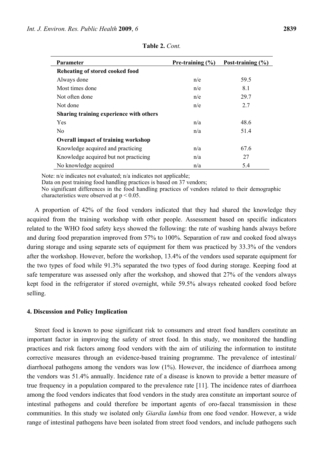| <b>Parameter</b>                           | Pre-training $(\% )$ | Post-training $(\% )$ |  |  |
|--------------------------------------------|----------------------|-----------------------|--|--|
| Reheating of stored cooked food            |                      |                       |  |  |
| Always done                                | n/e                  | 59.5                  |  |  |
| Most times done                            | n/e                  | 8.1                   |  |  |
| Not often done                             | n/e                  | 29.7                  |  |  |
| Not done                                   | n/e                  | 2.7                   |  |  |
| Sharing training experience with others    |                      |                       |  |  |
| Yes                                        | n/a                  | 48.6                  |  |  |
| N <sub>0</sub>                             | n/a                  | 51.4                  |  |  |
| <b>Overall impact of training workshop</b> |                      |                       |  |  |
| Knowledge acquired and practicing          | n/a                  | 67.6                  |  |  |
| Knowledge acquired but not practicing      | n/a                  | 27                    |  |  |
| No knowledge acquired                      | n/a                  | 5.4                   |  |  |

**Table 2.** *Cont.*

Note: n/e indicates not evaluated; n/a indicates not applicable;

Data on post training food handling practices is based on 37 vendors;

No significant differences in the food handling practices of vendors related to their demographic characteristics were observed at  $p < 0.05$ .

A proportion of 42% of the food vendors indicated that they had shared the knowledge they acquired from the training workshop with other people. Assessment based on specific indicators related to the WHO food safety keys showed the following: the rate of washing hands always before and during food preparation improved from 57% to 100%. Separation of raw and cooked food always during storage and using separate sets of equipment for them was practiced by 33.3% of the vendors after the workshop. However, before the workshop, 13.4% of the vendors used separate equipment for the two types of food while 91.3% separated the two types of food during storage. Keeping food at safe temperature was assessed only after the workshop, and showed that 27% of the vendors always kept food in the refrigerator if stored overnight, while 59.5% always reheated cooked food before selling.

#### **4. Discussion and Policy Implication**

Street food is known to pose significant risk to consumers and street food handlers constitute an important factor in improving the safety of street food. In this study, we monitored the handling practices and risk factors among food vendors with the aim of utilizing the information to institute corrective measures through an evidence-based training programme. The prevalence of intestinal/ diarrhoeal pathogens among the vendors was low (1%). However, the incidence of diarrhoea among the vendors was 51.4% annually. Incidence rate of a disease is known to provide a better measure of true frequency in a population compared to the prevalence rate [11]. The incidence rates of diarrhoea among the food vendors indicates that food vendors in the study area constitute an important source of intestinal pathogens and could therefore be important agents of oro-faecal transmission in these communities. In this study we isolated only *Giardia lambia* from one food vendor. However, a wide range of intestinal pathogens have been isolated from street food vendors, and include pathogens such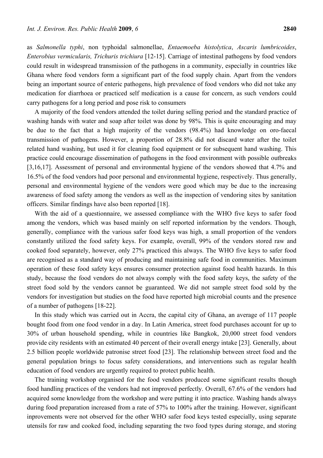as *Salmonella typhi*, non typhoidal salmonellae, *Entaemoeba histolytica*, *Ascaris lumbricoides*, *Enterobius vermicularis, Trichuris trichiura* [12-15]. Carriage of intestinal pathogens by food vendors could result in widespread transmission of the pathogens in a community, especially in countries like Ghana where food vendors form a significant part of the food supply chain. Apart from the vendors being an important source of enteric pathogens, high prevalence of food vendors who did not take any medication for diarrhoea or practiced self medication is a cause for concern, as such vendors could carry pathogens for a long period and pose risk to consumers

A majority of the food vendors attended the toilet during selling period and the standard practice of washing hands with water and soap after toilet was done by 98%. This is quite encouraging and may be due to the fact that a high majority of the vendors (98.4%) had knowledge on oro-faecal transmission of pathogens. However, a proportion of 28.8% did not discard water after the toilet related hand washing, but used it for cleaning food equipment or for subsequent hand washing. This practice could encourage dissemination of pathogens in the food environment with possible outbreaks [3,16,17]. Assessment of personal and environmental hygiene of the vendors showed that 4.7% and 16.5% of the food vendors had poor personal and environmental hygiene, respectively. Thus generally, personal and environmental hygiene of the vendors were good which may be due to the increasing awareness of food safety among the vendors as well as the inspection of vendoring sites by sanitation officers. Similar findings have also been reported [18].

With the aid of a questionnaire, we assessed compliance with the WHO five keys to safer food among the vendors, which was based mainly on self reported information by the vendors. Though, generally, compliance with the various safer food keys was high, a small proportion of the vendors constantly utilized the food safety keys. For example, overall, 99% of the vendors stored raw and cooked food separately, however, only 27% practiced this always. The WHO five keys to safer food are recognised as a standard way of producing and maintaining safe food in communities. Maximum operation of these food safety keys ensures consumer protection against food health hazards. In this study, because the food vendors do not always comply with the food safety keys, the safety of the street food sold by the vendors cannot be guaranteed. We did not sample street food sold by the vendors for investigation but studies on the food have reported high microbial counts and the presence of a number of pathogens [18-22].

In this study which was carried out in Accra, the capital city of Ghana, an average of 117 people bought food from one food vendor in a day. In Latin America, street food purchases account for up to 30% of urban household spending, while in countries like Bangkok, 20,000 street food vendors provide city residents with an estimated 40 percent of their overall energy intake [23]. Generally, about 2.5 billion people worldwide patronise street food [23]. The relationship between street food and the general population brings to focus safety considerations, and interventions such as regular health education of food vendors are urgently required to protect public health.

The training workshop organised for the food vendors produced some significant results though food handling practices of the vendors had not improved perfectly. Overall, 67.6% of the vendors had acquired some knowledge from the workshop and were putting it into practice. Washing hands always during food preparation increased from a rate of 57% to 100% after the training. However, significant inprovements were not observed for the other WHO safer food keys tested especially, using separate utensils for raw and cooked food, including separating the two food types during storage, and storing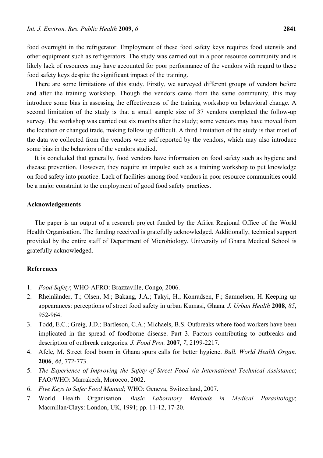food overnight in the refrigerator. Employment of these food safety keys requires food utensils and other equipment such as refrigerators. The study was carried out in a poor resource community and is likely lack of resources may have accounted for poor performance of the vendors with regard to these food safety keys despite the significant impact of the training.

There are some limitations of this study. Firstly, we surveyed different groups of vendors before and after the training workshop. Though the vendors came from the same community, this may introduce some bias in assessing the effectiveness of the training workshop on behavioral change. A second limitation of the study is that a small sample size of 37 vendors completed the follow-up survey. The workshop was carried out six months after the study; some vendors may have moved from the location or changed trade, making follow up difficult. A third limitation of the study is that most of the data we collected from the vendors were self reported by the vendors, which may also introduce some bias in the behaviors of the vendors studied.

It is concluded that generally, food vendors have information on food safety such as hygiene and disease prevention. However, they require an impulse such as a training workshop to put knowledge on food safety into practice. Lack of facilities among food vendors in poor resource communities could be a major constraint to the employment of good food safety practices.

# **Acknowledgements**

The paper is an output of a research project funded by the Africa Regional Office of the World Health Organisation. The funding received is gratefully acknowledged. Additionally, technical support provided by the entire staff of Department of Microbiology, University of Ghana Medical School is gratefully acknowledged.

# **References**

- 1. *Food Safety*; WHO-AFRO: Brazzaville, Congo, 2006.
- 2. Rheinländer, T.; Olsen, M.; Bakang, J.A.; Takyi, H.; Konradsen, F.; Samuelsen, H. Keeping up appearances: perceptions of street food safety in urban Kumasi, Ghana*. J. Urban Health* **2008**, *85*, 952-964.
- 3. Todd, E.C.; Greig, J.D.; Bartleson, C.A.; Michaels, B.S. Outbreaks where food workers have been implicated in the spread of foodborne disease. Part 3. Factors contributing to outbreaks and description of outbreak categories. *J. Food Prot.* **2007**, *7*, 2199-2217.
- 4. Afele, M. Street food boom in Ghana spurs calls for better hygiene. *Bull. World Health Organ.* **2006**, *84*, 772-773.
- 5. *The Experience of Improving the Safety of Street Food via International Technical Assistance*; FAO/WHO: Marrakech, Morocco, 2002.
- 6. *Five Keys to Safer Food Manual*; WHO: Geneva, Switzerland, 2007.
- 7. World Health Organisation. *Basic Laboratory Methods in Medical Parasitology*; Macmillan/Clays: London, UK, 1991; pp. 11-12, 17-20.